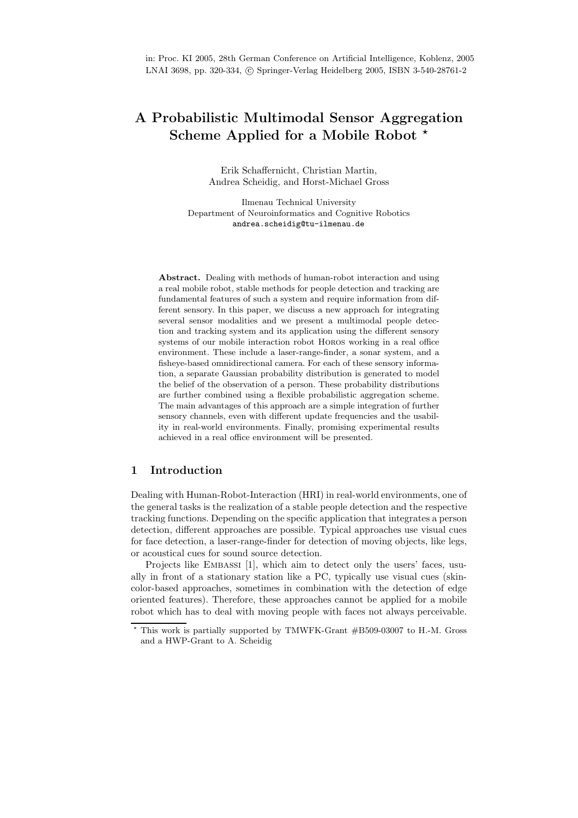# A Probabilistic Multimodal Sensor Aggregation Scheme Applied for a Mobile Robot \*

Erik Schaffernicht, Christian Martin, Andrea Scheidig, and Horst-Michael Gross

Ilmenau Technical University Department of Neuroinformatics and Cognitive Robotics andrea.scheidig@tu-ilmenau.de

Abstract. Dealing with methods of human-robot interaction and using a real mobile robot, stable methods for people detection and tracking are fundamental features of such a system and require information from different sensory. In this paper, we discuss a new approach for integrating several sensor modalities and we present a multimodal people detection and tracking system and its application using the different sensory systems of our mobile interaction robot Horos working in a real office environment. These include a laser-range-finder, a sonar system, and a fisheye-based omnidirectional camera. For each of these sensory information, a separate Gaussian probability distribution is generated to model the belief of the observation of a person. These probability distributions are further combined using a flexible probabilistic aggregation scheme. The main advantages of this approach are a simple integration of further sensory channels, even with different update frequencies and the usability in real-world environments. Finally, promising experimental results achieved in a real office environment will be presented.

# 1 Introduction

Dealing with Human-Robot-Interaction (HRI) in real-world environments, one of the general tasks is the realization of a stable people detection and the respective tracking functions. Depending on the specific application that integrates a person detection, different approaches are possible. Typical approaches use visual cues for face detection, a laser-range-finder for detection of moving objects, like legs, or acoustical cues for sound source detection.

Projects like EMBASSI [1], which aim to detect only the users' faces, usually in front of a stationary station like a PC, typically use visual cues (skincolor-based approaches, sometimes in combination with the detection of edge oriented features). Therefore, these approaches cannot be applied for a mobile robot which has to deal with moving people with faces not always perceivable.

This work is partially supported by TMWFK-Grant #B509-03007 to H.-M. Gross and a HWP-Grant to A. Scheidig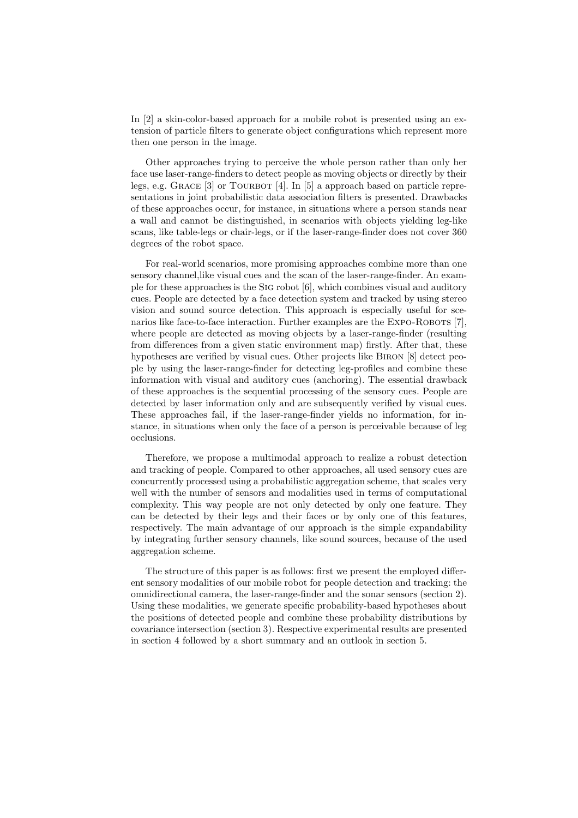In [2] a skin-color-based approach for a mobile robot is presented using an extension of particle filters to generate object configurations which represent more then one person in the image.

Other approaches trying to perceive the whole person rather than only her face use laser-range-finders to detect people as moving objects or directly by their legs, e.g. GRACE  $[3]$  or TOURBOT  $[4]$ . In  $[5]$  a approach based on particle representations in joint probabilistic data association filters is presented. Drawbacks of these approaches occur, for instance, in situations where a person stands near a wall and cannot be distinguished, in scenarios with objects yielding leg-like scans, like table-legs or chair-legs, or if the laser-range-finder does not cover 360 degrees of the robot space.

For real-world scenarios, more promising approaches combine more than one sensory channel,like visual cues and the scan of the laser-range-finder. An example for these approaches is the Sig robot [6], which combines visual and auditory cues. People are detected by a face detection system and tracked by using stereo vision and sound source detection. This approach is especially useful for scenarios like face-to-face interaction. Further examples are the Expo-ROBOTS [7], where people are detected as moving objects by a laser-range-finder (resulting from differences from a given static environment map) firstly. After that, these hypotheses are verified by visual cues. Other projects like Biron [8] detect people by using the laser-range-finder for detecting leg-profiles and combine these information with visual and auditory cues (anchoring). The essential drawback of these approaches is the sequential processing of the sensory cues. People are detected by laser information only and are subsequently verified by visual cues. These approaches fail, if the laser-range-finder yields no information, for instance, in situations when only the face of a person is perceivable because of leg occlusions.

Therefore, we propose a multimodal approach to realize a robust detection and tracking of people. Compared to other approaches, all used sensory cues are concurrently processed using a probabilistic aggregation scheme, that scales very well with the number of sensors and modalities used in terms of computational complexity. This way people are not only detected by only one feature. They can be detected by their legs and their faces or by only one of this features, respectively. The main advantage of our approach is the simple expandability by integrating further sensory channels, like sound sources, because of the used aggregation scheme.

The structure of this paper is as follows: first we present the employed different sensory modalities of our mobile robot for people detection and tracking: the omnidirectional camera, the laser-range-finder and the sonar sensors (section 2). Using these modalities, we generate specific probability-based hypotheses about the positions of detected people and combine these probability distributions by covariance intersection (section 3). Respective experimental results are presented in section 4 followed by a short summary and an outlook in section 5.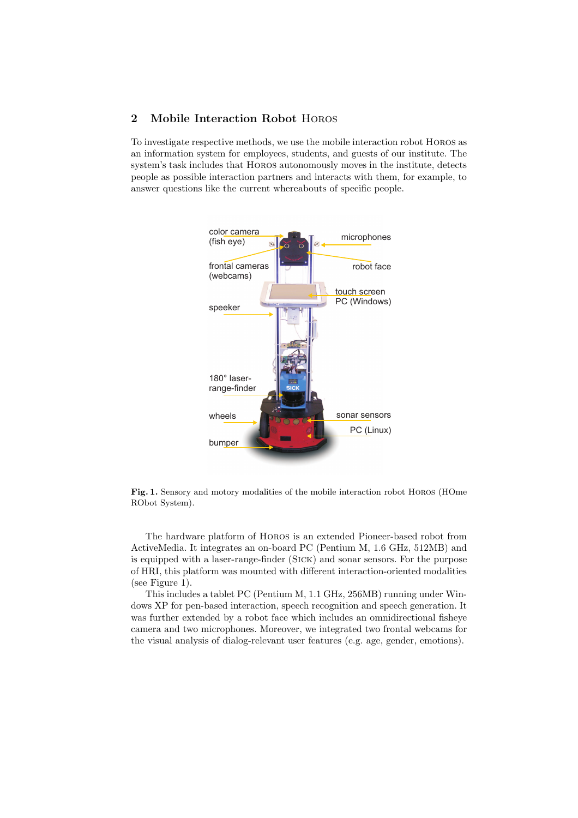# 2 Mobile Interaction Robot Horos

To investigate respective methods, we use the mobile interaction robot Horos as an information system for employees, students, and guests of our institute. The system's task includes that Horos autonomously moves in the institute, detects people as possible interaction partners and interacts with them, for example, to answer questions like the current whereabouts of specific people.



Fig. 1. Sensory and motory modalities of the mobile interaction robot Horos (HOme RObot System).

The hardware platform of Horos is an extended Pioneer-based robot from ActiveMedia. It integrates an on-board PC (Pentium M, 1.6 GHz, 512MB) and is equipped with a laser-range-finder (Sick) and sonar sensors. For the purpose of HRI, this platform was mounted with different interaction-oriented modalities (see Figure 1).

This includes a tablet PC (Pentium M, 1.1 GHz, 256MB) running under Windows XP for pen-based interaction, speech recognition and speech generation. It was further extended by a robot face which includes an omnidirectional fisheye camera and two microphones. Moreover, we integrated two frontal webcams for the visual analysis of dialog-relevant user features (e.g. age, gender, emotions).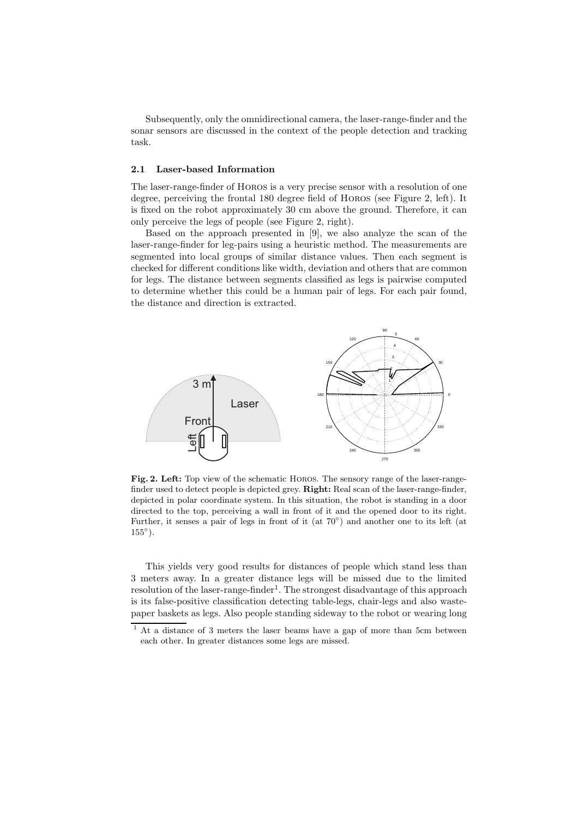Subsequently, only the omnidirectional camera, the laser-range-finder and the sonar sensors are discussed in the context of the people detection and tracking task.

#### 2.1 Laser-based Information

The laser-range-finder of Horos is a very precise sensor with a resolution of one degree, perceiving the frontal 180 degree field of Horos (see Figure 2, left). It is fixed on the robot approximately 30 cm above the ground. Therefore, it can only perceive the legs of people (see Figure 2, right).

Based on the approach presented in [9], we also analyze the scan of the laser-range-finder for leg-pairs using a heuristic method. The measurements are segmented into local groups of similar distance values. Then each segment is checked for different conditions like width, deviation and others that are common for legs. The distance between segments classified as legs is pairwise computed to determine whether this could be a human pair of legs. For each pair found, the distance and direction is extracted.



Fig. 2. Left: Top view of the schematic Horos. The sensory range of the laser-rangefinder used to detect people is depicted grey. Right: Real scan of the laser-range-finder, depicted in polar coordinate system. In this situation, the robot is standing in a door directed to the top, perceiving a wall in front of it and the opened door to its right. Further, it senses a pair of legs in front of it (at  $70^\circ$ ) and another one to its left (at  $155^{\circ}$ ).

This yields very good results for distances of people which stand less than 3 meters away. In a greater distance legs will be missed due to the limited resolution of the laser-range-finder<sup>1</sup>. The strongest disadvantage of this approach is its false-positive classification detecting table-legs, chair-legs and also wastepaper baskets as legs. Also people standing sideway to the robot or wearing long

<sup>1</sup> At a distance of 3 meters the laser beams have a gap of more than 5cm between each other. In greater distances some legs are missed.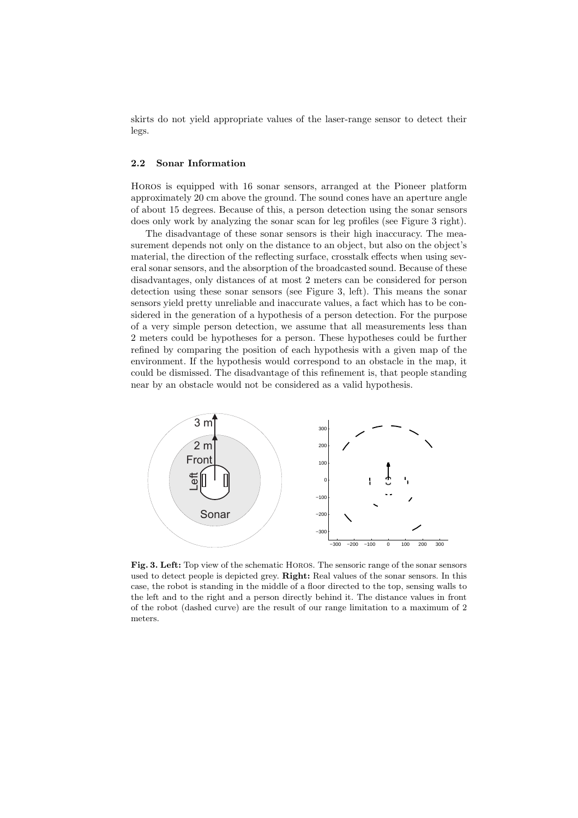skirts do not yield appropriate values of the laser-range sensor to detect their legs.

### 2.2 Sonar Information

Horos is equipped with 16 sonar sensors, arranged at the Pioneer platform approximately 20 cm above the ground. The sound cones have an aperture angle of about 15 degrees. Because of this, a person detection using the sonar sensors does only work by analyzing the sonar scan for leg profiles (see Figure 3 right).

The disadvantage of these sonar sensors is their high inaccuracy. The measurement depends not only on the distance to an object, but also on the object's material, the direction of the reflecting surface, crosstalk effects when using several sonar sensors, and the absorption of the broadcasted sound. Because of these disadvantages, only distances of at most 2 meters can be considered for person detection using these sonar sensors (see Figure 3, left). This means the sonar sensors yield pretty unreliable and inaccurate values, a fact which has to be considered in the generation of a hypothesis of a person detection. For the purpose of a very simple person detection, we assume that all measurements less than 2 meters could be hypotheses for a person. These hypotheses could be further refined by comparing the position of each hypothesis with a given map of the environment. If the hypothesis would correspond to an obstacle in the map, it could be dismissed. The disadvantage of this refinement is, that people standing near by an obstacle would not be considered as a valid hypothesis.



Fig. 3. Left: Top view of the schematic HOROS. The sensoric range of the sonar sensors used to detect people is depicted grey. **Right:** Real values of the sonar sensors. In this case, the robot is standing in the middle of a floor directed to the top, sensing walls to the left and to the right and a person directly behind it. The distance values in front of the robot (dashed curve) are the result of our range limitation to a maximum of 2 meters.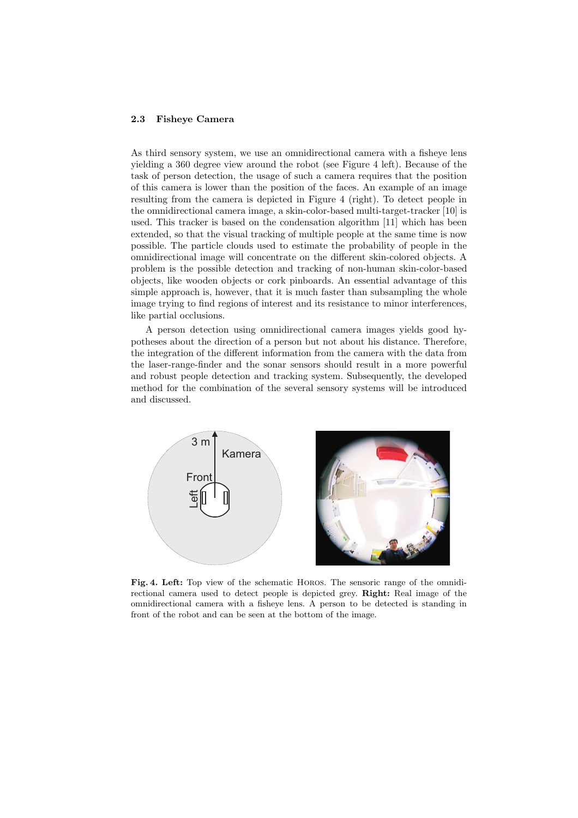#### 2.3 Fisheye Camera

As third sensory system, we use an omnidirectional camera with a fisheye lens yielding a 360 degree view around the robot (see Figure 4 left). Because of the task of person detection, the usage of such a camera requires that the position of this camera is lower than the position of the faces. An example of an image resulting from the camera is depicted in Figure 4 (right). To detect people in the omnidirectional camera image, a skin-color-based multi-target-tracker [10] is used. This tracker is based on the condensation algorithm [11] which has been extended, so that the visual tracking of multiple people at the same time is now possible. The particle clouds used to estimate the probability of people in the omnidirectional image will concentrate on the different skin-colored objects. A problem is the possible detection and tracking of non-human skin-color-based objects, like wooden objects or cork pinboards. An essential advantage of this simple approach is, however, that it is much faster than subsampling the whole image trying to find regions of interest and its resistance to minor interferences, like partial occlusions.

A person detection using omnidirectional camera images yields good hypotheses about the direction of a person but not about his distance. Therefore, the integration of the different information from the camera with the data from the laser-range-finder and the sonar sensors should result in a more powerful and robust people detection and tracking system. Subsequently, the developed method for the combination of the several sensory systems will be introduced and discussed.



Fig. 4. Left: Top view of the schematic Horos. The sensoric range of the omnidirectional camera used to detect people is depicted grey. Right: Real image of the omnidirectional camera with a fisheye lens. A person to be detected is standing in front of the robot and can be seen at the bottom of the image.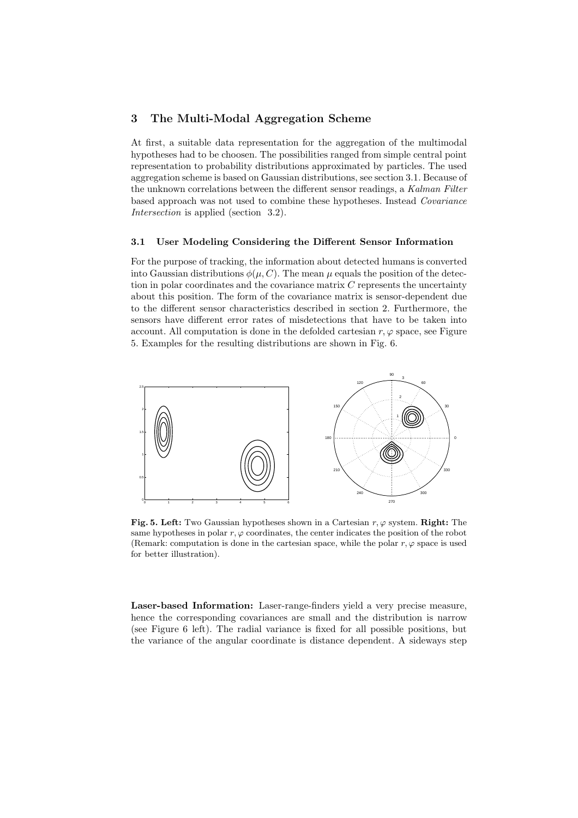### 3 The Multi-Modal Aggregation Scheme

At first, a suitable data representation for the aggregation of the multimodal hypotheses had to be choosen. The possibilities ranged from simple central point representation to probability distributions approximated by particles. The used aggregation scheme is based on Gaussian distributions, see section 3.1. Because of the unknown correlations between the different sensor readings, a Kalman Filter based approach was not used to combine these hypotheses. Instead Covariance Intersection is applied (section 3.2).

#### 3.1 User Modeling Considering the Different Sensor Information

For the purpose of tracking, the information about detected humans is converted into Gaussian distributions  $\phi(\mu, C)$ . The mean  $\mu$  equals the position of the detection in polar coordinates and the covariance matrix  $C$  represents the uncertainty about this position. The form of the covariance matrix is sensor-dependent due to the different sensor characteristics described in section 2. Furthermore, the sensors have different error rates of misdetections that have to be taken into account. All computation is done in the defolded cartesian  $r, \varphi$  space, see Figure 5. Examples for the resulting distributions are shown in Fig. 6.



Fig. 5. Left: Two Gaussian hypotheses shown in a Cartesian  $r, \varphi$  system. Right: The same hypotheses in polar  $r, \varphi$  coordinates, the center indicates the position of the robot (Remark: computation is done in the cartesian space, while the polar  $r, \varphi$  space is used for better illustration).

Laser-based Information: Laser-range-finders yield a very precise measure, hence the corresponding covariances are small and the distribution is narrow (see Figure 6 left). The radial variance is fixed for all possible positions, but the variance of the angular coordinate is distance dependent. A sideways step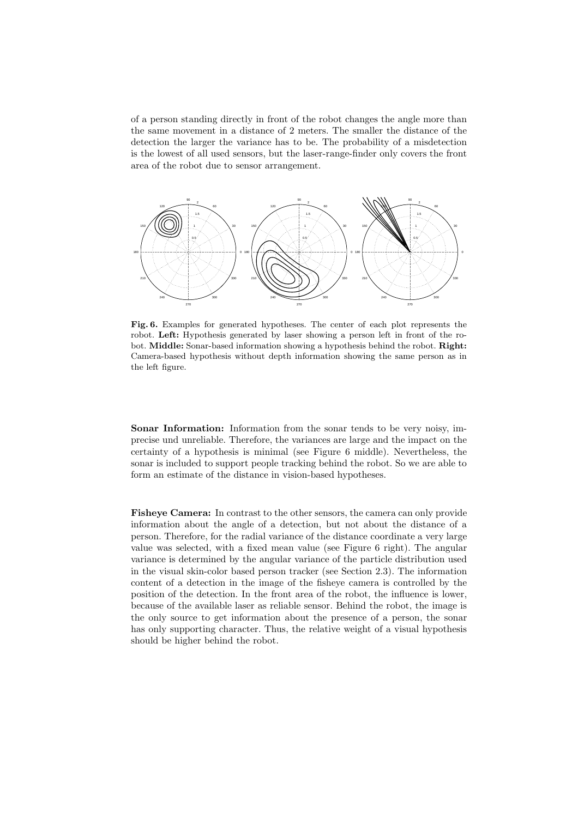of a person standing directly in front of the robot changes the angle more than the same movement in a distance of 2 meters. The smaller the distance of the detection the larger the variance has to be. The probability of a misdetection is the lowest of all used sensors, but the laser-range-finder only covers the front area of the robot due to sensor arrangement.



Fig. 6. Examples for generated hypotheses. The center of each plot represents the robot. Left: Hypothesis generated by laser showing a person left in front of the robot. Middle: Sonar-based information showing a hypothesis behind the robot. Right: Camera-based hypothesis without depth information showing the same person as in the left figure.

Sonar Information: Information from the sonar tends to be very noisy, imprecise und unreliable. Therefore, the variances are large and the impact on the certainty of a hypothesis is minimal (see Figure 6 middle). Nevertheless, the sonar is included to support people tracking behind the robot. So we are able to form an estimate of the distance in vision-based hypotheses.

Fisheye Camera: In contrast to the other sensors, the camera can only provide information about the angle of a detection, but not about the distance of a person. Therefore, for the radial variance of the distance coordinate a very large value was selected, with a fixed mean value (see Figure 6 right). The angular variance is determined by the angular variance of the particle distribution used in the visual skin-color based person tracker (see Section 2.3). The information content of a detection in the image of the fisheye camera is controlled by the position of the detection. In the front area of the robot, the influence is lower, because of the available laser as reliable sensor. Behind the robot, the image is the only source to get information about the presence of a person, the sonar has only supporting character. Thus, the relative weight of a visual hypothesis should be higher behind the robot.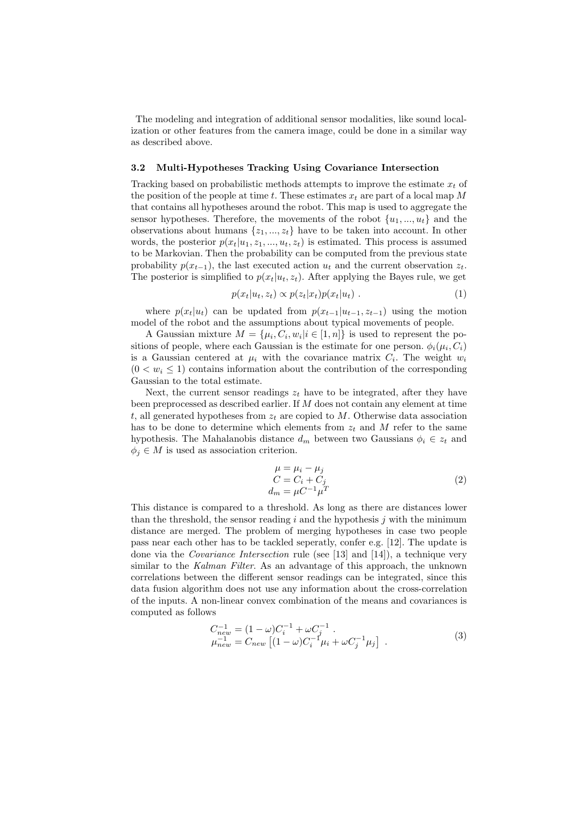The modeling and integration of additional sensor modalities, like sound localization or other features from the camera image, could be done in a similar way as described above.

#### 3.2 Multi-Hypotheses Tracking Using Covariance Intersection

Tracking based on probabilistic methods attempts to improve the estimate  $x_t$  of the position of the people at time t. These estimates  $x_t$  are part of a local map M that contains all hypotheses around the robot. This map is used to aggregate the sensor hypotheses. Therefore, the movements of the robot  $\{u_1, ..., u_t\}$  and the observations about humans  $\{z_1, ..., z_t\}$  have to be taken into account. In other words, the posterior  $p(x_t|u_1, z_1, ..., u_t, z_t)$  is estimated. This process is assumed to be Markovian. Then the probability can be computed from the previous state probability  $p(x_{t-1})$ , the last executed action  $u_t$  and the current observation  $z_t$ . The posterior is simplified to  $p(x_t|u_t, z_t)$ . After applying the Bayes rule, we get

$$
p(x_t|u_t, z_t) \propto p(z_t|x_t)p(x_t|u_t) \tag{1}
$$

where  $p(x_t|u_t)$  can be updated from  $p(x_{t-1}|u_{t-1}, z_{t-1})$  using the motion model of the robot and the assumptions about typical movements of people.

A Gaussian mixture  $M = \{\mu_i, C_i, w_i | i \in [1, n]\}$  is used to represent the positions of people, where each Gaussian is the estimate for one person.  $\phi_i(\mu_i, C_i)$ is a Gaussian centered at  $\mu_i$  with the covariance matrix  $C_i$ . The weight  $w_i$  $(0 \lt w_i \leq 1)$  contains information about the contribution of the corresponding Gaussian to the total estimate.

Next, the current sensor readings  $z_t$  have to be integrated, after they have been preprocessed as described earlier. If M does not contain any element at time t, all generated hypotheses from  $z_t$  are copied to M. Otherwise data association has to be done to determine which elements from  $z_t$  and M refer to the same hypothesis. The Mahalanobis distance  $d_m$  between two Gaussians  $\phi_i \in z_t$  and  $\phi_j \in M$  is used as association criterion.

$$
\mu = \mu_i - \mu_j \nC = C_i + C_j \nd_m = \mu C^{-1} \mu^T
$$
\n(2)

This distance is compared to a threshold. As long as there are distances lower than the threshold, the sensor reading  $i$  and the hypothesis  $j$  with the minimum distance are merged. The problem of merging hypotheses in case two people pass near each other has to be tackled seperatly, confer e.g. [12]. The update is done via the *Covariance Intersection* rule (see [13] and [14]), a technique very similar to the Kalman Filter. As an advantage of this approach, the unknown correlations between the different sensor readings can be integrated, since this data fusion algorithm does not use any information about the cross-correlation of the inputs. A non-linear convex combination of the means and covariances is computed as follows

$$
C_{new}^{-1} = (1 - \omega)C_i^{-1} + \omega C_j^{-1}.
$$
  
\n
$$
\mu_{new}^{-1} = C_{new} [(1 - \omega)C_i^{-1} \mu_i + \omega C_j^{-1} \mu_j].
$$
\n(3)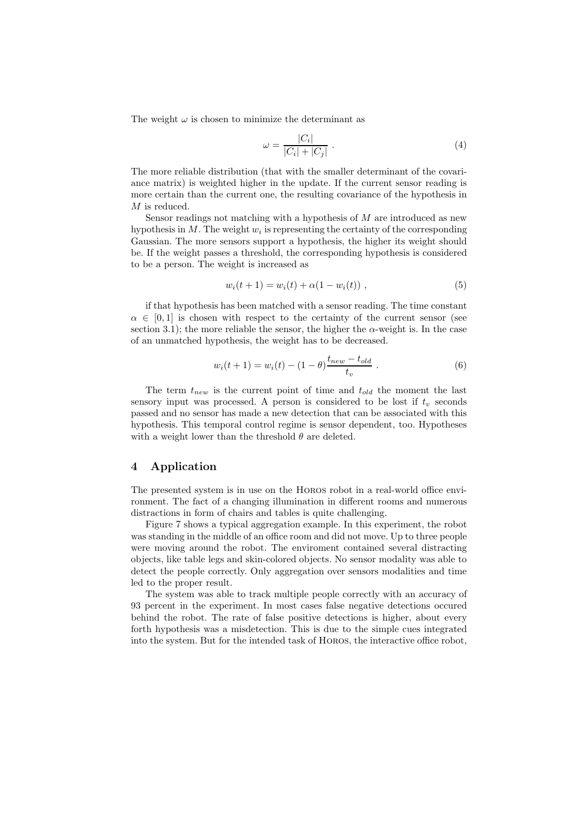The weight  $\omega$  is chosen to minimize the determinant as

$$
\omega = \frac{|C_i|}{|C_i| + |C_j|} \tag{4}
$$

The more reliable distribution (that with the smaller determinant of the covariance matrix) is weighted higher in the update. If the current sensor reading is more certain than the current one, the resulting covariance of the hypothesis in M is reduced.

Sensor readings not matching with a hypothesis of M are introduced as new hypothesis in  $M$ . The weight  $w_i$  is representing the certainty of the corresponding Gaussian. The more sensors support a hypothesis, the higher its weight should be. If the weight passes a threshold, the corresponding hypothesis is considered to be a person. The weight is increased as

$$
w_i(t+1) = w_i(t) + \alpha(1 - w_i(t)), \qquad (5)
$$

if that hypothesis has been matched with a sensor reading. The time constant  $\alpha \in [0,1]$  is chosen with respect to the certainty of the current sensor (see section 3.1); the more reliable the sensor, the higher the  $\alpha$ -weight is. In the case of an unmatched hypothesis, the weight has to be decreased.

$$
w_i(t+1) = w_i(t) - (1 - \theta) \frac{t_{new} - t_{old}}{t_v} . \tag{6}
$$

The term  $t_{new}$  is the current point of time and  $t_{old}$  the moment the last sensory input was processed. A person is considered to be lost if  $t_v$  seconds passed and no sensor has made a new detection that can be associated with this hypothesis. This temporal control regime is sensor dependent, too. Hypotheses with a weight lower than the threshold  $\theta$  are deleted.

# 4 Application

The presented system is in use on the Horos robot in a real-world office environment. The fact of a changing illumination in different rooms and numerous distractions in form of chairs and tables is quite challenging.

Figure 7 shows a typical aggregation example. In this experiment, the robot was standing in the middle of an office room and did not move. Up to three people were moving around the robot. The enviroment contained several distracting objects, like table legs and skin-colored objects. No sensor modality was able to detect the people correctly. Only aggregation over sensors modalities and time led to the proper result.

The system was able to track multiple people correctly with an accuracy of 93 percent in the experiment. In most cases false negative detections occured behind the robot. The rate of false positive detections is higher, about every forth hypothesis was a misdetection. This is due to the simple cues integrated into the system. But for the intended task of Horos, the interactive office robot,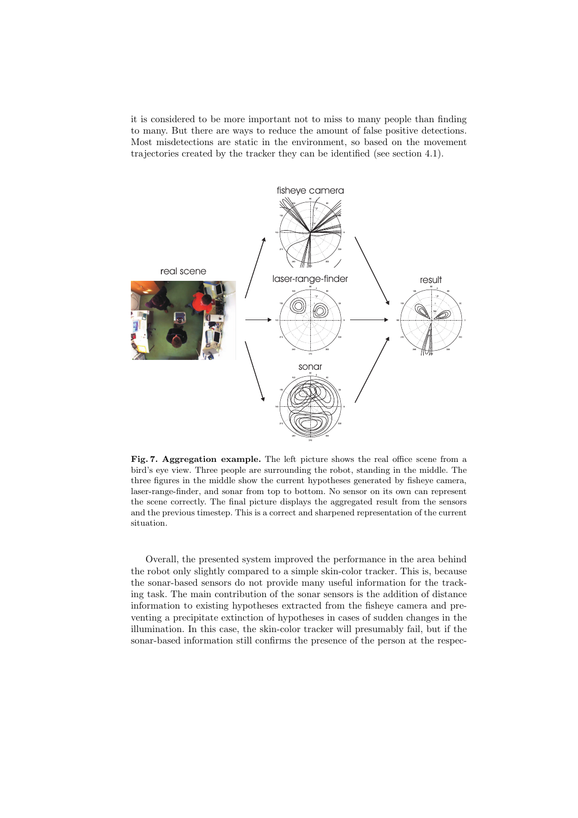it is considered to be more important not to miss to many people than finding to many. But there are ways to reduce the amount of false positive detections. Most misdetections are static in the environment, so based on the movement trajectories created by the tracker they can be identified (see section 4.1).



Fig. 7. Aggregation example. The left picture shows the real office scene from a bird's eye view. Three people are surrounding the robot, standing in the middle. The three figures in the middle show the current hypotheses generated by fisheye camera, laser-range-finder, and sonar from top to bottom. No sensor on its own can represent the scene correctly. The final picture displays the aggregated result from the sensors and the previous timestep. This is a correct and sharpened representation of the current situation.

Overall, the presented system improved the performance in the area behind the robot only slightly compared to a simple skin-color tracker. This is, because the sonar-based sensors do not provide many useful information for the tracking task. The main contribution of the sonar sensors is the addition of distance information to existing hypotheses extracted from the fisheye camera and preventing a precipitate extinction of hypotheses in cases of sudden changes in the illumination. In this case, the skin-color tracker will presumably fail, but if the sonar-based information still confirms the presence of the person at the respec-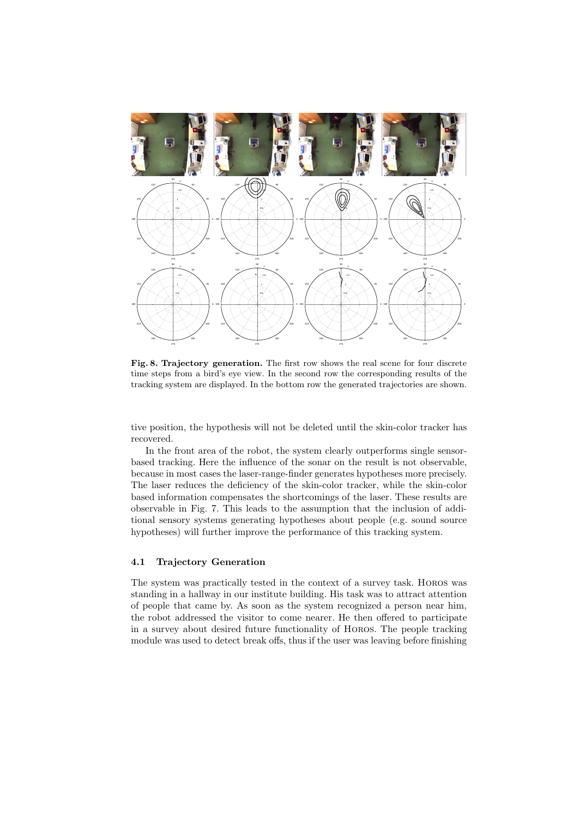

Fig. 8. Trajectory generation. The first row shows the real scene for four discrete time steps from a bird's eye view. In the second row the corresponding results of the tracking system are displayed. In the bottom row the generated trajectories are shown.

tive position, the hypothesis will not be deleted until the skin-color tracker has recovered.

In the front area of the robot, the system clearly outperforms single sensorbased tracking. Here the influence of the sonar on the result is not observable, because in most cases the laser-range-finder generates hypotheses more precisely. The laser reduces the deficiency of the skin-color tracker, while the skin-color based information compensates the shortcomings of the laser. These results are observable in Fig. 7. This leads to the assumption that the inclusion of additional sensory systems generating hypotheses about people (e.g. sound source hypotheses) will further improve the performance of this tracking system.

### 4.1 Trajectory Generation

The system was practically tested in the context of a survey task. Horos was standing in a hallway in our institute building. His task was to attract attention of people that came by. As soon as the system recognized a person near him, the robot addressed the visitor to come nearer. He then offered to participate in a survey about desired future functionality of Horos. The people tracking module was used to detect break offs, thus if the user was leaving before finishing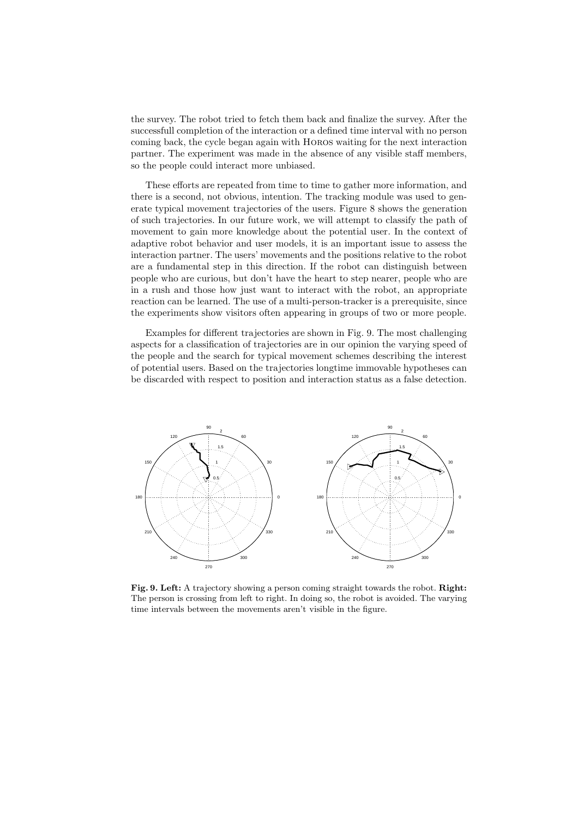the survey. The robot tried to fetch them back and finalize the survey. After the successfull completion of the interaction or a defined time interval with no person coming back, the cycle began again with Horos waiting for the next interaction partner. The experiment was made in the absence of any visible staff members, so the people could interact more unbiased.

These efforts are repeated from time to time to gather more information, and there is a second, not obvious, intention. The tracking module was used to generate typical movement trajectories of the users. Figure 8 shows the generation of such trajectories. In our future work, we will attempt to classify the path of movement to gain more knowledge about the potential user. In the context of adaptive robot behavior and user models, it is an important issue to assess the interaction partner. The users' movements and the positions relative to the robot are a fundamental step in this direction. If the robot can distinguish between people who are curious, but don't have the heart to step nearer, people who are in a rush and those how just want to interact with the robot, an appropriate reaction can be learned. The use of a multi-person-tracker is a prerequisite, since the experiments show visitors often appearing in groups of two or more people.

Examples for different trajectories are shown in Fig. 9. The most challenging aspects for a classification of trajectories are in our opinion the varying speed of the people and the search for typical movement schemes describing the interest of potential users. Based on the trajectories longtime immovable hypotheses can be discarded with respect to position and interaction status as a false detection.



Fig. 9. Left: A trajectory showing a person coming straight towards the robot. Right: The person is crossing from left to right. In doing so, the robot is avoided. The varying time intervals between the movements aren't visible in the figure.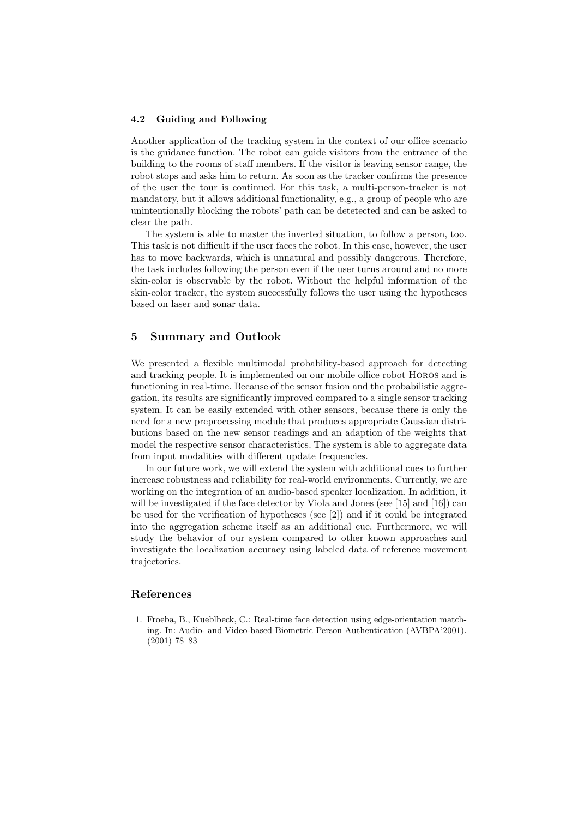#### 4.2 Guiding and Following

Another application of the tracking system in the context of our office scenario is the guidance function. The robot can guide visitors from the entrance of the building to the rooms of staff members. If the visitor is leaving sensor range, the robot stops and asks him to return. As soon as the tracker confirms the presence of the user the tour is continued. For this task, a multi-person-tracker is not mandatory, but it allows additional functionality, e.g., a group of people who are unintentionally blocking the robots' path can be detetected and can be asked to clear the path.

The system is able to master the inverted situation, to follow a person, too. This task is not difficult if the user faces the robot. In this case, however, the user has to move backwards, which is unnatural and possibly dangerous. Therefore, the task includes following the person even if the user turns around and no more skin-color is observable by the robot. Without the helpful information of the skin-color tracker, the system successfully follows the user using the hypotheses based on laser and sonar data.

### 5 Summary and Outlook

We presented a flexible multimodal probability-based approach for detecting and tracking people. It is implemented on our mobile office robot Horos and is functioning in real-time. Because of the sensor fusion and the probabilistic aggregation, its results are significantly improved compared to a single sensor tracking system. It can be easily extended with other sensors, because there is only the need for a new preprocessing module that produces appropriate Gaussian distributions based on the new sensor readings and an adaption of the weights that model the respective sensor characteristics. The system is able to aggregate data from input modalities with different update frequencies.

In our future work, we will extend the system with additional cues to further increase robustness and reliability for real-world environments. Currently, we are working on the integration of an audio-based speaker localization. In addition, it will be investigated if the face detector by Viola and Jones (see [15] and [16]) can be used for the verification of hypotheses (see [2]) and if it could be integrated into the aggregation scheme itself as an additional cue. Furthermore, we will study the behavior of our system compared to other known approaches and investigate the localization accuracy using labeled data of reference movement trajectories.

# References

1. Froeba, B., Kueblbeck, C.: Real-time face detection using edge-orientation matching. In: Audio- and Video-based Biometric Person Authentication (AVBPA'2001). (2001) 78–83